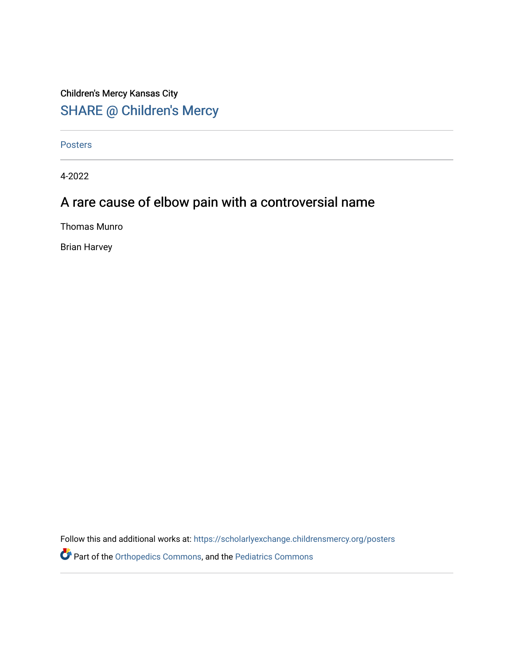## Children's Mercy Kansas City SHARE @ Children's Mercy

[Posters](https://scholarlyexchange.childrensmercy.org/posters) 

4-2022

## A rare cause of elbow pain with a controversial name

Thomas Munro

Brian Harvey

Follow this and additional works at: [https://scholarlyexchange.childrensmercy.org/posters](https://scholarlyexchange.childrensmercy.org/posters?utm_source=scholarlyexchange.childrensmercy.org%2Fposters%2F261&utm_medium=PDF&utm_campaign=PDFCoverPages) 

Part of the [Orthopedics Commons](http://network.bepress.com/hgg/discipline/696?utm_source=scholarlyexchange.childrensmercy.org%2Fposters%2F261&utm_medium=PDF&utm_campaign=PDFCoverPages), and the [Pediatrics Commons](http://network.bepress.com/hgg/discipline/700?utm_source=scholarlyexchange.childrensmercy.org%2Fposters%2F261&utm_medium=PDF&utm_campaign=PDFCoverPages)